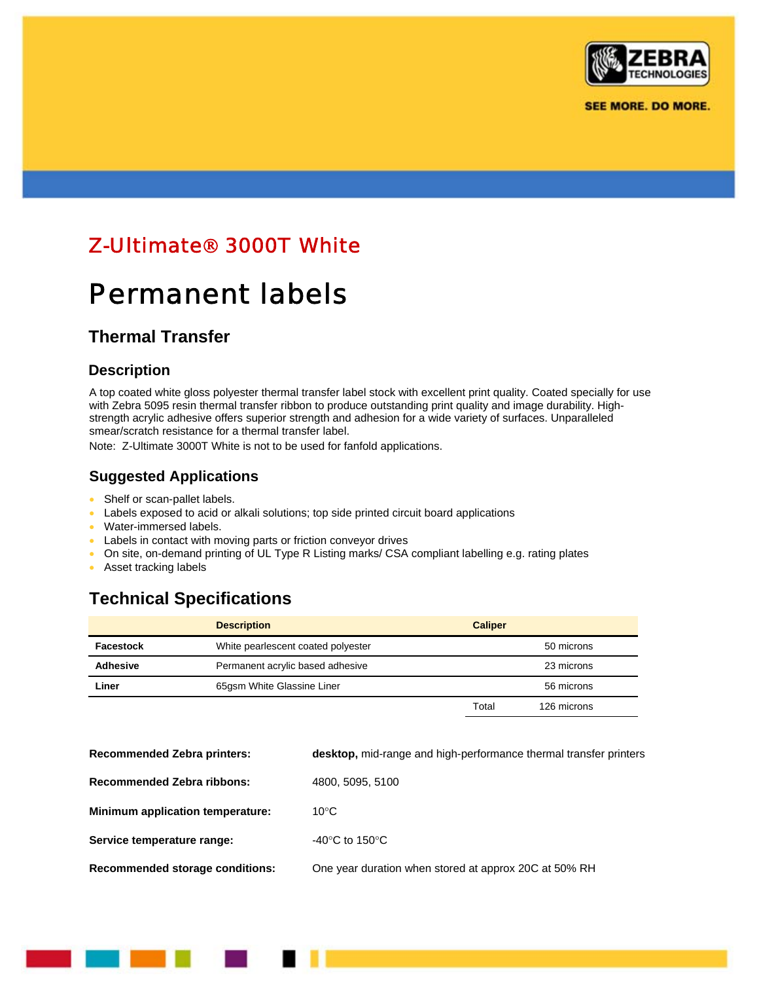

**SEE MORE. DO MORE.** 

# Z-Ultimate® 3000T White

# Permanent labels

### **Thermal Transfer**

### **Description**

A top coated white gloss polyester thermal transfer label stock with excellent print quality. Coated specially for use with Zebra 5095 resin thermal transfer ribbon to produce outstanding print quality and image durability. Highstrength acrylic adhesive offers superior strength and adhesion for a wide variety of surfaces. Unparalleled smear/scratch resistance for a thermal transfer label.

Note: Z-Ultimate 3000T White is not to be used for fanfold applications.

### **Suggested Applications**

- Shelf or scan-pallet labels.
- Labels exposed to acid or alkali solutions; top side printed circuit board applications
- Water-immersed labels.
- Labels in contact with moving parts or friction conveyor drives
- On site, on-demand printing of UL Type R Listing marks/ CSA compliant labelling e.g. rating plates
- Asset tracking labels

### **Technical Specifications**

|                 | <b>Description</b>                 | <b>Caliper</b> |             |
|-----------------|------------------------------------|----------------|-------------|
| Facestock       | White pearlescent coated polyester |                | 50 microns  |
| <b>Adhesive</b> | Permanent acrylic based adhesive   |                | 23 microns  |
| Liner           | 65gsm White Glassine Liner         |                | 56 microns  |
|                 |                                    | Total          | 126 microns |

| <b>Recommended Zebra printers:</b> | desktop, mid-range and high-performance thermal transfer printers |
|------------------------------------|-------------------------------------------------------------------|
| <b>Recommended Zebra ribbons:</b>  | 4800, 5095, 5100                                                  |
| Minimum application temperature:   | $10^{\circ}$ C                                                    |
| Service temperature range:         | -40 $^{\circ}$ C to 150 $^{\circ}$ C                              |
| Recommended storage conditions:    | One year duration when stored at approx 20C at 50% RH             |